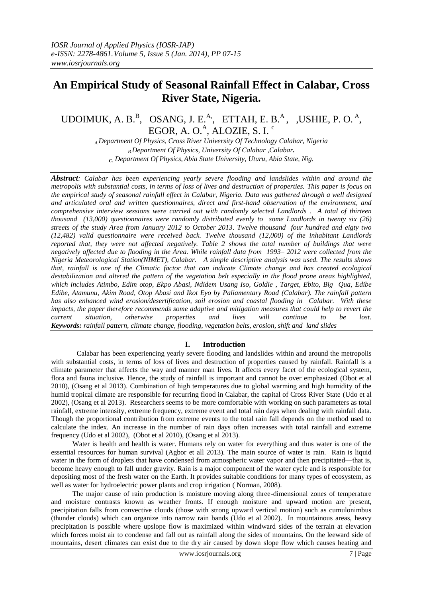# **An Empirical Study of Seasonal Rainfall Effect in Calabar, Cross River State, Nigeria.**

## UDOIMUK, A. B.<sup>B</sup>, OSANG, J. E.<sup>A</sup>, ETTAH, E. B.<sup>A</sup>, ,USHIE, P. O.<sup>A</sup>, EGOR, A. O. $^\mathrm{A}$ , ALOZIE, S. I.  $^\mathrm{c}$

*A.Department Of Physics, Cross River University Of Technology Calabar, Nigeria B.Department Of Physics, University Of Calabar ,Calabar. C. Department Of Physics, Abia State University, Uturu, Abia State, Nig.*

*Abstract: Calabar has been experiencing yearly severe flooding and landslides within and around the metropolis with substantial costs, in terms of loss of lives and destruction of properties. This paper is focus on the empirical study of seasonal rainfall effect in Calabar, Nigeria. Data was gathered through a well designed and articulated oral and written questionnaires, direct and first-hand observation of the environment, and comprehensive interview sessions were carried out with randomly selected Landlords . A total of thirteen thousand (13,000) questionnaires were randomly distributed evenly to some Landlords in twenty six (26) streets of the study Area from January 2012 to October 2013. Twelve thousand four hundred and eigty two (12,482) valid questionnaire were received back. Twelve thousand (12,000) of the inhabitant Landlords reported that, they were not affected negatively. Table 2 shows the total number of buildings that were negatively affected due to flooding in the Area. While rainfall data from 1993– 2012 were collected from the Nigeria Meteorological Station(NIMET), Calabar. A simple descriptive analysis was used. The results shows that, rainfall is one of the Climatic factor that can indicate Climate change and has created ecological destabilization and altered the pattern of the vegetation belt especially in the flood prone areas highlighted, which includes Atimbo, Edim otop, Ekpo Abasi, Ndidem Usang Iso, Goldie , Target, Ebito, Big Qua, Edibe Edibe, Atamunu, Akim Road, Otop Abasi and Ikot Eyo by Paliamentary Road (Calabar). The rainfall pattern has also enhanced wind erosion/desertification, soil erosion and coastal flooding in Calabar. With these impacts, the paper therefore recommends some adaptive and mitigation measures that could help to revert the current situation, otherwise properties and lives will continue to be lost. Keywords: rainfall pattern, climate change, flooding, vegetation belts, erosion, shift and land slides* 

## **I. Introduction**

 Calabar has been experiencing yearly severe flooding and landslides within and around the metropolis with substantial costs, in terms of loss of lives and destruction of properties caused by rainfall. Rainfall is a climate parameter that affects the way and manner man lives. It affects every facet of the ecological system, flora and fauna inclusive. Hence, the study of rainfall is important and cannot be over emphasized (Obot et al 2010), (Osang et al 2013). Combination of high temperatures due to global warming and high humidity of the humid tropical climate are responsible for recurring flood in Calabar, the capital of Cross River State (Udo et al 2002), (Osang et al 2013). Researchers seems to be more comfortable with working on such parameters as total rainfall, extreme intensity, extreme frequency, extreme event and total rain days when dealing with rainfall data. Though the proportional contribution from extreme events to the total rain fall depends on the method used to calculate the index. An increase in the number of rain days often increases with total rainfall and extreme frequency (Udo et al 2002), (Obot et al 2010), (Osang et al 2013).

 Water is health and health is water. Humans rely on water for everything and thus water is one of the essential resources for human survival (Agbor et all 2013). The main source of water is rain. Rain is liquid water in the form of droplets that have condensed from atmospheric water vapor and then precipitated—that is, become heavy enough to fall under gravity. Rain is a major component of the water cycle and is responsible for depositing most of the fresh water on the Earth. It provides suitable conditions for many types of ecosystem, as well as water for hydroelectric power plants and crop irrigation ( Norman, 2008).

 The major cause of rain production is moisture moving along three-dimensional zones of temperature and moisture contrasts known as weather fronts. If enough moisture and upward motion are present, precipitation falls from convective clouds (those with strong upward vertical motion) such as cumulonimbus (thunder clouds) which can organize into narrow rain bands (Udo et al 2002). In mountainous areas, heavy precipitation is possible where upslope flow is maximized within windward sides of the terrain at elevation which forces moist air to condense and fall out as rainfall along the sides of mountains. On the leeward side of mountains, desert climates can exist due to the dry air caused by down slope flow which causes heating and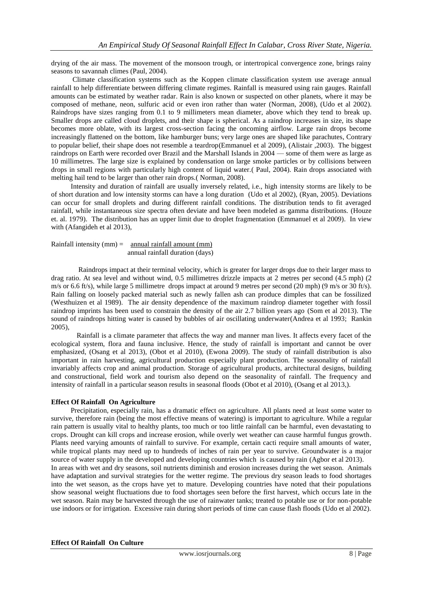drying of the air mass. The movement of the monsoon trough, or intertropical convergence zone, brings rainy seasons to savannah climes (Paul, 2004).

 Climate classification systems such as the Koppen climate classification system use average annual rainfall to help differentiate between differing climate regimes. Rainfall is measured using rain gauges. Rainfall amounts can be estimated by weather radar. Rain is also known or suspected on other planets, where it may be composed of methane, neon, sulfuric acid or even iron rather than water (Norman, 2008), (Udo et al 2002). Raindrops have sizes ranging from 0.1 to 9 millimeters mean diameter, above which they tend to break up. Smaller drops are called cloud droplets, and their shape is spherical. As a raindrop increases in size, its shape becomes more oblate, with its largest cross-section facing the oncoming airflow. Large rain drops become increasingly flattened on the bottom, like hamburger buns; very large ones are shaped like parachutes, Contrary to popular belief, their shape does not resemble a teardrop(Emmanuel et al 2009), (Alistair ,2003). The biggest raindrops on Earth were recorded over Brazil and the Marshall Islands in 2004 — some of them were as large as 10 millimetres. The large size is explained by condensation on large smoke particles or by collisions between drops in small regions with particularly high content of liquid water.( Paul, 2004). Rain drops associated with melting hail tend to be larger than other rain drops.( Norman, 2008).

 Intensity and duration of rainfall are usually inversely related, i.e., high intensity storms are likely to be of short duration and low intensity storms can have a long duration (Udo et al 2002), (Ryan, 2005). Deviations can occur for small droplets and during different rainfall conditions. The distribution tends to fit averaged rainfall, while instantaneous size spectra often deviate and have been modeled as gamma distributions. (Houze et. al. 1979). The distribution has an upper limit due to droplet fragmentation (Emmanuel et al 2009). In view with (Afangideh et al 2013),

Rainfall intensity  $(mm) =$  annual rainfall amount  $(mm)$ annual rainfall duration (days)

Raindrops impact at their terminal velocity, which is greater for larger drops due to their larger mass to drag ratio. At sea level and without wind, 0.5 millimetres drizzle impacts at 2 metres per second (4.5 mph) (2 m/s or 6.6 ft/s), while large 5 millimetre drops impact at around 9 metres per second (20 mph) (9 m/s or 30 ft/s). Rain falling on loosely packed material such as newly fallen ash can produce dimples that can be fossilized (Westhuizen et al 1989). The air density dependence of the maximum raindrop diameter together with fossil raindrop imprints has been used to constrain the density of the air 2.7 billion years ago (Som et al 2013). The sound of raindrops hitting water is caused by bubbles of air oscillating underwater(Andrea et al 1993; Rankin 2005),

Rainfall is a climate parameter that affects the way and manner man lives. It affects every facet of the ecological system, flora and fauna inclusive. Hence, the study of rainfall is important and cannot be over emphasized, (Osang et al 2013), (Obot et al 2010), (Ewona 2009). The study of rainfall distribution is also important in rain harvesting, agricultural production especially plant production. The seasonality of rainfall invariably affects crop and animal production. Storage of agricultural products, architectural designs, building and constructional, field work and tourism also depend on the seasonality of rainfall. The frequency and intensity of rainfall in a particular season results in seasonal floods (Obot et al 2010), (Osang et al 2013,).

#### **Effect Of Rainfall On Agriculture**

 Precipitation, especially rain, has a dramatic effect on agriculture. All plants need at least some water to survive, therefore rain (being the most effective means of watering) is important to agriculture. While a regular rain pattern is usually vital to healthy plants, too much or too little rainfall can be harmful, even devastating to crops. Drought can kill crops and increase erosion, while overly wet weather can cause harmful fungus growth. Plants need varying amounts of rainfall to survive. For example, certain cacti require small amounts of water, while tropical plants may need up to hundreds of inches of rain per year to survive. Groundwater is a major source of water supply in the developed and developing countries which is caused by rain (Agbor et al 2013). In areas with wet and dry seasons, soil nutrients diminish and erosion increases during the wet season. Animals have adaptation and survival strategies for the wetter regime. The previous dry season leads to food shortages into the wet season, as the crops have yet to mature. Developing countries have noted that their populations show seasonal weight fluctuations due to food shortages seen before the first harvest, which occurs late in the wet season. Rain may be harvested through the use of rainwater tanks; treated to potable use or for non-potable use indoors or for irrigation. Excessive rain during short periods of time can cause flash floods (Udo et al 2002).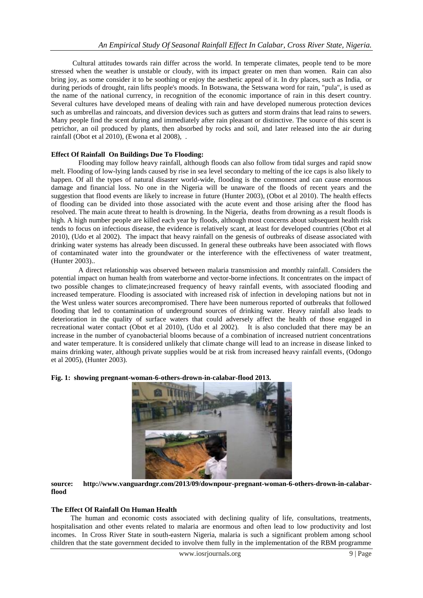Cultural attitudes towards rain differ across the world. In temperate climates, people tend to be more stressed when the weather is unstable or cloudy, with its impact greater on men than women. Rain can also bring joy, as some consider it to be soothing or enjoy the aesthetic appeal of it. In dry places, such as India, or during periods of drought, rain lifts people's moods. In Botswana, the Setswana word for rain, "pula", is used as the name of the national currency, in recognition of the economic importance of rain in this desert country. Several cultures have developed means of dealing with rain and have developed numerous protection devices such as umbrellas and raincoats, and diversion devices such as gutters and storm drains that lead rains to sewers. Many people find the scent during and immediately after rain pleasant or distinctive. The source of this scent is petrichor, an oil produced by plants, then absorbed by rocks and soil, and later released into the air during rainfall (Obot et al 2010), (Ewona et al 2008), .

#### **Effect Of Rainfall On Buildings Due To Flooding:**

 Flooding may follow heavy rainfall, although floods can also follow from tidal surges and rapid snow melt. Flooding of low-lying lands caused by rise in sea level secondary to melting of the ice caps is also likely to happen. Of all the types of natural disaster world-wide, flooding is the commonest and can cause enormous damage and financial loss. No one in the Nigeria will be unaware of the floods of recent years and the suggestion that flood events are likely to increase in future (Hunter 2003), (Obot et al 2010). The health effects of flooding can be divided into those associated with the acute event and those arising after the flood has resolved. The main acute threat to health is drowning. In the Nigeria, deaths from drowning as a result floods is high. A high number people are killed each year by floods, although most concerns about subsequent health risk tends to focus on infectious disease, the evidence is relatively scant, at least for developed countries (Obot et al 2010), (Udo et al 2002). The impact that heavy rainfall on the genesis of outbreaks of disease associated with drinking water systems has already been discussed. In general these outbreaks have been associated with flows of contaminated water into the groundwater or the interference with the effectiveness of water treatment, (Hunter 2003)..

 A direct relationship was observed between malaria transmission and monthly rainfall. Considers the potential impact on human health from waterborne and vector-borne infections. It concentrates on the impact of two possible changes to climate;increased frequency of heavy rainfall events, with associated flooding and increased temperature. Flooding is associated with increased risk of infection in developing nations but not in the West unless water sources arecompromised. There have been numerous reported of outbreaks that followed flooding that led to contamination of underground sources of drinking water. Heavy rainfall also leads to deterioration in the quality of surface waters that could adversely affect the health of those engaged in recreational water contact (Obot et al 2010), (Udo et al 2002). It is also concluded that there may be an increase in the number of cyanobacterial blooms because of a combination of increased nutrient concentrations and water temperature. It is considered unlikely that climate change will lead to an increase in disease linked to mains drinking water, although private supplies would be at risk from increased heavy rainfall events, (Odongo et al 2005), (Hunter 2003).

**Fig. 1: showing pregnant-woman-6-others-drown-in-calabar-flood 2013.**



**source: [http://www.vanguardngr.com/2013/09/downpour-pregnant-woman-6-others-drown-in-calabar](http://www.vanguardngr.com/2013/09/downpour-pregnant-woman-6-others-drown-in-calabar-flood)[flood](http://www.vanguardngr.com/2013/09/downpour-pregnant-woman-6-others-drown-in-calabar-flood)**

## **The Effect Of Rainfall On Human Health**

The human and economic costs associated with declining quality of life, consultations, treatments, hospitalisation and other events related to malaria are enormous and often lead to low productivity and lost incomes. In Cross River State in south-eastern Nigeria, malaria is such a significant problem among school children that the state government decided to involve them fully in the implementation of the RBM programme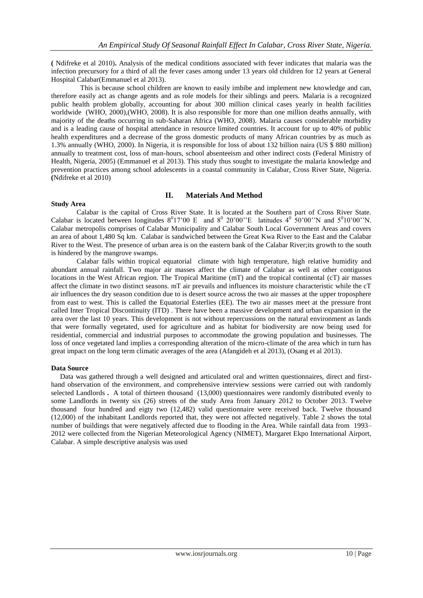**(** Ndifreke et al 2010)**.** Analysis of the medical conditions associated with fever indicates that malaria was the infection precursory for a third of all the fever cases among under 13 years old children for 12 years at General Hospital Calabar(Emmanuel et al 2013).

 This is because school children are known to easily imbibe and implement new knowledge and can, therefore easily act as change agents and as role models for their siblings and peers. Malaria is a recognized public health problem globally, accounting for about 300 million clinical cases yearly in health facilities worldwide (WHO, 2000),(WHO, 2008). It is also responsible for more than one million deaths annually, with majority of the deaths occurring in sub-Saharan Africa (WHO, 2008). Malaria causes considerable morbidity and is a leading cause of hospital attendance in resource limited countries. It account for up to 40% of public health expenditures and a decrease of the gross domestic products of many African countries by as much as 1.3% annually (WHO, 2000). In Nigeria, it is responsible for loss of about 132 billion naira (US \$ 880 million) annually to treatment cost, loss of man-hours, school absenteeism and other indirect costs (Federal Ministry of Health, Nigeria, 2005) (Emmanuel et al 2013). This study thus sought to investigate the malaria knowledge and prevention practices among school adolescents in a coastal community in Calabar, Cross River State, Nigeria. **(**Ndifreke et al 2010)

#### **Study Area**

## **II. Materials And Method**

Calabar is the capital of Cross River State. It is located at the Southern part of Cross River State. Calabar is located between longitudes  $8^017'00 \text{ E}$  and  $8^020'00''\text{E}$  latitudes  $4^050'00''\text{N}$  and  $5^010'00''\text{N}$ . Calabar metropolis comprises of Calabar Municipality and Calabar South Local Government Areas and covers an area of about 1,480 Sq km. Calabar is sandwiched between the Great Kwa River to the East and the Calabar River to the West. The presence of urban area is on the eastern bank of the Calabar River;its growth to the south is hindered by the mangrove swamps.

Calabar falls within tropical equatorial climate with high temperature, high relative humidity and abundant annual rainfall. Two major air masses affect the climate of Calabar as well as other contiguous locations in the West African region. The Tropical Maritime (mT) and the tropical continental (cT) air masses affect the climate in two distinct seasons. mT air prevails and influences its moisture characteristic while the cT air influences the dry season condition due to is desert source across the two air masses at the upper troposphere from east to west. This is called the Equatorial Esterlies (EE). The two air masses meet at the pressure front called Inter Tropical Discontinuity (ITD) . There have been a massive development and urban expansion in the area over the last 10 years. This development is not without repercussions on the natural environment as lands that were formally vegetated, used for agriculture and as habitat for biodiversity are now being used for residential, commercial and industrial purposes to accommodate the growing population and businesses. The loss of once vegetated land implies a corresponding alteration of the micro-climate of the area which in turn has great impact on the long term climatic averages of the area (Afangideh et al 2013), (Osang et al 2013).

#### **Data Source**

 Data was gathered through a well designed and articulated oral and written questionnaires, direct and firsthand observation of the environment, and comprehensive interview sessions were carried out with randomly selected Landlords **.** A total of thirteen thousand (13,000) questionnaires were randomly distributed evenly to some Landlords in twenty six (26) streets of the study Area from January 2012 to October 2013. Twelve thousand four hundred and eigty two (12,482) valid questionnaire were received back. Twelve thousand (12,000) of the inhabitant Landlords reported that, they were not affected negatively. Table 2 shows the total number of buildings that were negatively affected due to flooding in the Area. While rainfall data from 1993– 2012 were collected from the Nigerian Meteorological Agency (NIMET), Margaret Ekpo International Airport, Calabar. A simple descriptive analysis was used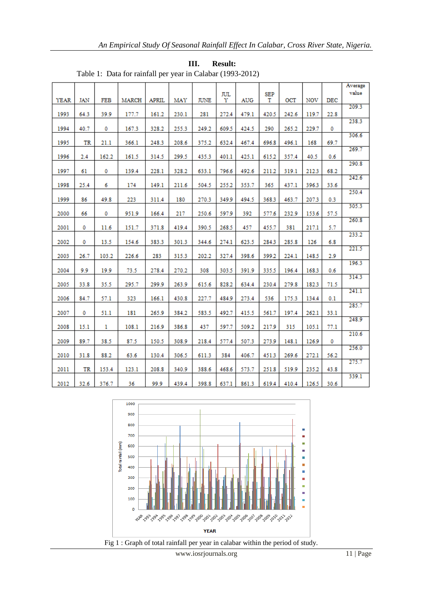|             |            |            |       |              |            |             |            |            |            |       |            |            | Average |
|-------------|------------|------------|-------|--------------|------------|-------------|------------|------------|------------|-------|------------|------------|---------|
|             |            |            |       |              |            |             | <b>JUL</b> |            | <b>SEP</b> |       |            |            | value   |
| <b>YEAR</b> | <b>JAN</b> | <b>FEB</b> | MARCH | <b>APRIL</b> | <b>MAY</b> | <b>JUNE</b> | Y          | <b>AUG</b> | т          | OCT   | <b>NOV</b> | <b>DEC</b> |         |
|             |            |            |       |              |            |             |            |            |            |       |            |            | 209.3   |
| 1993        | 64.3       | 39.9       | 177.7 | 161.2        | 230.1      | 281         | 272.4      | 479.1      | 420.5      | 242.6 | 119.7      | 22.8       |         |
|             |            |            |       |              |            |             |            |            |            |       |            |            | 238.3   |
| 1994        | 40.7       | 0          | 167.3 | 328.2        | 255.3      | 249.2       | 609.5      | 424.5      | 290        | 265.2 | 229.7      | ٥          | 306.6   |
| 1995        | TR         | 21.1       | 366.1 | 248.3        | 208.6      | 375.2       | 632.4      | 467.4      | 696.8      | 496.1 | 168        | 69.7       |         |
|             |            |            |       |              |            |             |            |            |            |       |            |            | 269.7   |
| 1996        | 2.4        | 162.2      | 161.5 | 314.5        | 299.5      | 435.3       | 401.1      | 425.1      | 615.2      | 357.4 | 40.5       | 0.6        |         |
|             |            |            |       |              |            |             |            |            |            |       |            |            | 290.8   |
| 1997        | 61         | 0          | 139.4 | 228.1        | 328.2      | 633.1       | 796.6      | 492.6      | 2112       | 319.1 | 212.3      | 68.2       |         |
|             |            |            |       |              |            |             |            |            |            |       |            |            | 242.6   |
| 1998        | 25.4       | 6          | 174   | 149.1        | 211.6      | 504.5       | 255.2      | 353.7      | 365        | 437.1 | 396.3      | 33.6       | 250.4   |
| 1999        | 86         | 49.8       | 223   | 311.4        | 180        | 270.3       | 349.9      | 494.5      | 368.3      | 463.7 | 207.3      | 0.3        |         |
|             |            |            |       |              |            |             |            |            |            |       |            |            | 305.3   |
| 2000        | 66         | 0          | 951.9 | 166.4        | 217        | 250.6       | 597.9      | 392        | 577.6      | 232.9 | 153.6      | 57.5       |         |
|             |            |            |       |              |            |             |            |            |            |       |            |            | 260.8   |
| 2001        | 0          | 11.6       | 151.7 | 371.8        | 419.4      | 390.5       | 268.5      | 457        | 455.7      | 381   | 217.1      | 5.7        |         |
|             |            |            |       |              |            |             |            |            |            |       |            |            | 233.2   |
| 2002        | 0          | 13.5       | 154.6 | 383.3        | 301.3      | 344.6       | 274.1      | 623.5      | 284.3      | 285.8 | 126        | 6.8        | 221.5   |
| 2003        | 26.7       | 103.2      | 226.6 | 283          | 315.3      | 202.2       | 327.4      | 398.6      | 399.2      | 224.1 | 148.5      | 2.9        |         |
|             |            |            |       |              |            |             |            |            |            |       |            |            | 196.3   |
| 2004        | 9.9        | 19.9       | 73.5  | 278.4        | 270.2      | 308         | 303.5      | 391.9      | 335.5      | 196.4 | 168.3      | 0.6        |         |
|             |            |            |       |              |            |             |            |            |            |       |            |            | 314.3   |
| 2005        | 33.8       | 35.5       | 295.7 | 299.9        | 263.9      | 615.6       | 828.2      | 634.4      | 230.4      | 279.8 | 1823       | 71.5       |         |
|             |            |            |       |              |            |             |            |            |            |       |            |            | 241.1   |
| 2006        | 84.7       | 57.1       | 323   | 166.1        | 430.8      | 227.7       | 484.9      | 273.4      | 536        | 175.3 | 134.4      | 0.1        |         |
| 2007        | 0          | 51.1       | 181   | 265.9        | 384.2      | 583.5       | 492.7      | 415.5      | 561.7      |       | 262.1      | 33.1       | 285.7   |
|             |            |            |       |              |            |             |            |            |            | 197.4 |            |            | 248.9   |
| 2008        | 15.1       | 1          | 108.1 | 216.9        | 386.8      | 437         | 597.7      | 509.2      | 217.9      | 315   | 105.1      | 77.1       |         |
|             |            |            |       |              |            |             |            |            |            |       |            |            | 210.6   |
| 2009        | 89.7       | 38.5       | 87.5  | 150.5        | 308.9      | 218.4       | 577.4      | 507.3      | 273.9      | 148.1 | 126.9      | 0          |         |
|             |            |            |       |              |            |             |            |            |            |       |            |            | 256.0   |
| 2010        | 31.8       | 88.2       | 63.6  | 130.4        | 306.5      | 611.3       | 384        | 406.7      | 4513       | 269.6 | 272.1      | 56.2       |         |
|             |            |            |       |              |            |             |            |            |            |       |            |            | 275.7   |
| 2011        | TR         | 153.4      | 123.1 | 208.8        | 340.9      | 388.6       | 468.6      | 573.7      | 251.8      | 519.9 | 235.2      | 43.8       | 339.1   |
| 2012        | 32.6       | 376.7      | 36    | 99.9         | 439.4      | 398.8       | 637.1      | 861.3      | 619.4      | 410.4 | 126.5      | 30.6       |         |
|             |            |            |       |              |            |             |            |            |            |       |            |            |         |

**III. Result:** Table 1: Data for rainfall per year in Calabar (1993-2012)



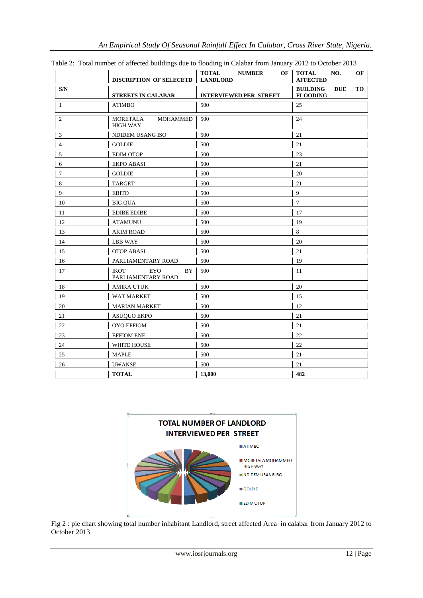|                | DISCRIPTION OF SELECETD                               | <b>TOTAL</b><br><b>NUMBER</b><br>OF<br><b>LANDLORD</b> | <b>TOTAL</b><br>NO.<br>OF<br><b>AFFECTED</b>                  |
|----------------|-------------------------------------------------------|--------------------------------------------------------|---------------------------------------------------------------|
| S/N            | <b>STREETS IN CALABAR</b>                             | <b>INTERVIEWED PER STREET</b>                          | <b>BUILDING</b><br><b>DUE</b><br><b>TO</b><br><b>FLOODING</b> |
| $\mathbf{1}$   | <b>ATIMBO</b>                                         | 500                                                    | 25                                                            |
| $\overline{c}$ | <b>MORETALA</b><br><b>MOHAMMED</b><br><b>HIGH WAY</b> | 500                                                    | 24                                                            |
| 3              | NDIDEM USANG ISO                                      | 500                                                    | 21                                                            |
| $\overline{4}$ | <b>GOLDIE</b>                                         | 500                                                    | 21                                                            |
| 5              | <b>EDIM OTOP</b>                                      | 500                                                    | 23                                                            |
| 6              | <b>EKPO ABASI</b>                                     | 500                                                    | 21                                                            |
| $\tau$         | <b>GOLDIE</b>                                         | 500                                                    | 20                                                            |
| 8              | <b>TARGET</b>                                         | 500                                                    | 21                                                            |
| 9              | <b>EBITO</b>                                          | 500                                                    | 9                                                             |
| 10             | <b>BIG OUA</b>                                        | 500                                                    | $\boldsymbol{7}$                                              |
| 11             | <b>EDIBE EDIBE</b>                                    | 500                                                    | 17                                                            |
| 12             | <b>ATAMUNU</b>                                        | 500                                                    | 19                                                            |
| 13             | <b>AKIM ROAD</b>                                      | 500                                                    | $\,8\,$                                                       |
| 14             | <b>I.BB WAY</b>                                       | 500                                                    | 20                                                            |
| 15             | <b>OTOP ABASI</b>                                     | 500                                                    | 21                                                            |
| 16             | PARLIAMENTARY ROAD                                    | 500                                                    | 19                                                            |
| 17             | <b>IKOT</b><br><b>EYO</b><br>BY<br>PARLIAMENTARY ROAD | 500                                                    | 11                                                            |
| 18             | AMIKA UTUK                                            | 500                                                    | 20                                                            |
| 19             | WAT MARKET                                            | 500                                                    | 15                                                            |
| 20             | <b>MARIAN MARKET</b>                                  | 500                                                    | 12                                                            |
| 21             | <b>ASUQUO EKPO</b>                                    | 500                                                    | 21                                                            |
| 22             | <b>OYO EFFIOM</b>                                     | 500                                                    | 21                                                            |
| 23             | <b>EFFIOM ENE</b>                                     | 500                                                    | 22                                                            |
| 24             | WHITE HOUSE                                           | 500                                                    | 22                                                            |
| 25             | <b>MAPLE</b>                                          | 500                                                    | 21                                                            |
| 26             | <b>UWANSE</b>                                         | 500                                                    | $\overline{21}$                                               |
|                | <b>TOTAL</b>                                          | 13,000                                                 | 482                                                           |

Table 2: Total number of affected buildings due to flooding in Calabar from January 2012 to October 2013



Fig 2 : pie chart showing total number inhabitant Landlord, street affected Area in calabar from January 2012 to October 2013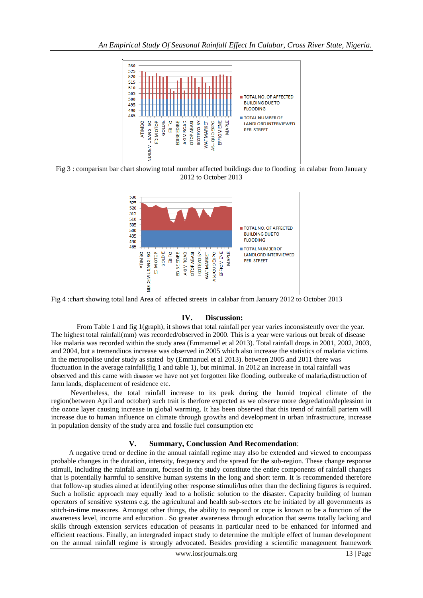

Fig 3 : comparism bar chart showing total number affected buildings due to flooding in calabar from January 2012 to October 2013



Fig 4 :chart showing total land Area of affected streets in calabar from January 2012 to October 2013

## **IV. Discussion:**

 From Table 1 and fig 1(graph), it shows that total rainfall per year varies inconsistently over the year. The highest total rainfall(mm) was recorded/observed in 2000. This is a year were various out break of disease like malaria was recorded within the study area (Emmanuel et al 2013). Total rainfall drops in 2001, 2002, 2003, and 2004, but a tremendiuos increase was observed in 2005 which also increase the statistics of malaria victims in the metropolise under study as stated by (Emmanuel et al 2013). between 2005 and 2011 there was fluctuation in the average rainfall(fig 1 and table 1), but minimal. In 2012 an increase in total rainfall was observed and this came with disaster we have not yet forgotten like flooding, outbreake of malaria,distruction of farm lands, displacement of residence etc.

 Nevertheless, the total rainfall increase to its peak during the humid tropical climate of the region(between April and october) such trait is therfore expected as we observe more degredation/deplession in the ozone layer causing increase in global warming. It has been observed that this trend of rainfall partern will increase due to human influence on climate through growths and development in urban infrastructure, increase in population density of the study area and fossile fuel consumption etc

## **V. Summary, Conclussion And Recomendation**:

 A negative trend or decline in the annual rainfall regime may also be extended and viewed to encompass probable changes in the duration, intensity, frequency and the spread for the sub-region. These change response stimuli, including the rainfall amount, focused in the study constitute the entire components of rainfall changes that is potentially harmful to sensitive human systems in the long and short term. It is recommended therefore that follow-up studies aimed at identifying other response stimuli/lus other than the declining figures is required. Such a holistic approach may equally lead to a holistic solution to the disaster. Capacity building of human operators of sensitive systems e.g. the agricultural and health sub-sectors etc be initiated by all governments as stitch-in-time measures. Amongst other things, the ability to respond or cope is known to be a function of the awareness level, income and education . So greater awareness through education that seems totally lacking and skills through extension services education of peasants in particular need to be enhanced for informed and efficient reactions. Finally, an intergraded impact study to determine the multiple effect of human development on the annual rainfall regime is strongly advocated. Besides providing a scientific management framework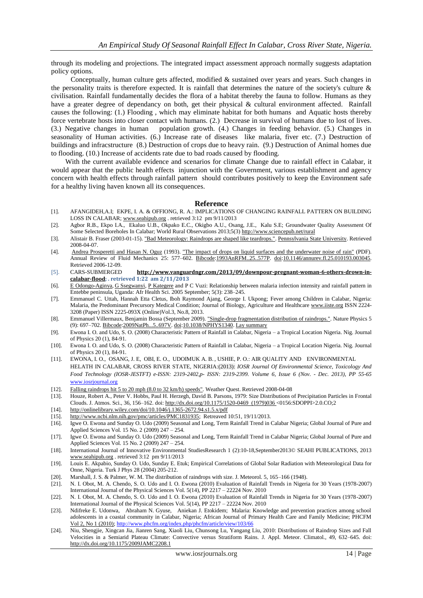through its modeling and projections. The integrated impact assessment approach normally suggests adaptation policy options.

Conceptually, human culture gets affected, modified & sustained over years and years. Such changes in the personality traits is therefore expected. It is rainfall that determines the nature of the society's culture  $\&$ civilisation. Rainfall fundamentally decides the flora of a habitat thereby the fauna to follow. Humans as they have a greater degree of dependancy on both, get their physical & cultural environment affected. Rainfall causes the following: (1.) Flooding , which may eliminate habitat for both humans and Aquatic hosts thereby force vertebrate hosts into closer contact with humans. (2.) Decrease in survival of humans due to lost of lives. (3.) Negative changes in human population growth. (4.) Changes in feeding behavior. (5.) Changes in seasonality of Human activities. (6.) Increase rate of diseases like malaria, fiver etc. (7.) Destruction of buildings and infracstructure (8.) Destruction of crops due to heavy rain. (9.) Destruction of Animal homes due to flooding. (10.) Increase of accidents rate due to bad roads caused by flooding.

With the current available evidence and scenarios for climate Change due to rainfall effect in Calabar, it would appear that the public health effects injunction with the Government, various establishment and agency concern with health effects through rainfall pattern should contributes positively to keep the Environment safe for a healthy living haven known all its consequences.

#### **Reference**

- [1]. AFANGIDEH,A.I; EKPE, I. A. & OFFIONG, R. A.: IMPLICATIONS OF CHANGING RAINFALL PATTERN ON BUILDING LOSS IN CALABAR; [www.seahipub.org](http://www.seahipub.org/) . retrieved 3:12 pm 9/11/2013
- [2]. Agbor R.B., Ekpo I.A., Ekaluo U.B., Okpako E.C., Okigbo A.U., Osang, J.E., Kalu S.E; Groundwater Quality Assessment Of Some Selected Boreholes In Calabar; World Rural Observations 2013;5(3[\) http://www.sciencepub.net/rural](http://www.sciencepub.net/rural)
- [3]. Alistair B. Fraser (2003-01-15)[. "Bad Meteorology: Raindrops are shaped like teardrops.".](http://www.ems.psu.edu/~fraser/Bad/BadRain.html) [Pennsylvania State University.](http://en.wikipedia.org/wiki/Pennsylvania_State_University) Retrieved 2008-04-07.
- [4]. [Andrea Prosperetti and Hasan N. Oguz](http://en.wikipedia.org/wiki/Andrea_Prosperetti) (1993). ["The impact of drops on liquid surfaces and the underwater noise of rain"](http://arjournals.annualreviews.org/doi/abs/10.1146/annurev.fl.25.010193.003045) (PDF). Annual Review of Fluid Mechanics 25: 577–602. [Bibcode:](http://en.wikipedia.org/wiki/Bibcode)[1993AnRFM..25..577P.](http://adsabs.harvard.edu/abs/1993AnRFM..25..577P) [doi:](http://en.wikipedia.org/wiki/Digital_object_identifier)[10.1146/annurev.fl.25.010193.003045.](http://dx.doi.org/10.1146%2Fannurev.fl.25.010193.003045)  Retrieved 2006-12-09.
- [5]. CARS-SUBMERGED **[http://www.vanguardngr.com/2013/09/downpour-pregnant-woman-6-others-drown-in](http://www.vanguardngr.com/2013/09/downpour-pregnant-woman-6-others-drown-in-calabar-flood)[calabar-flood;](http://www.vanguardngr.com/2013/09/downpour-pregnant-woman-6-others-drown-in-calabar-flood) . retrieved 1:22 am 2/11/2013**
- [6]. [E Odongo-Aginya,](http://www.ncbi.nlm.nih.gov/pubmed/?term=Odongo-Aginya%20E%5Bauth%5D) [G Ssegwanyi,](http://www.ncbi.nlm.nih.gov/pubmed/?term=Ssegwanyi%20G%5Bauth%5D) [P Kategere](http://www.ncbi.nlm.nih.gov/pubmed/?term=Kategere%20P%5Bauth%5D) and P C Vuzi: Relationship between malaria infection intensity and rainfall pattern in Entebbe peninsula, Uganda: Afr Health Sci. 2005 September; 5(3): 238–245.
- [7]. Emmanuel C. Uttah, Hannah Etta Cletus, Iboh Raymond Ajang, George I. Ukpong; Fever among Children in Calabar, Nigeria: Malaria, the Predominant Precursory Medical Condition; Journal of Biology, Agriculture and Healthcare [www.iiste.org](http://www.iiste.org/) ISSN 2224- 3208 (Paper) ISSN 2225-093X (Online)Vol.3, No.8, 2013.
- [8]. Emmanuel Villermaux, Benjamin Bossa (September 2009)[. "Single-drop fragmentation distribution of raindrops.".](https://www.irphe.fr/~fragmix/publis/VB2009.pdf) Nature Physics 5 (9): 697–702[. Bibcode](http://en.wikipedia.org/wiki/Bibcode)[:2009NatPh...5..697V.](http://adsabs.harvard.edu/abs/2009NatPh...5..697V) [doi:](http://en.wikipedia.org/wiki/Digital_object_identifier)[10.1038/NPHYS1340.](http://dx.doi.org/10.1038%2FNPHYS1340) [Lay summary](http://news.bbc.co.uk/2/hi/science/nature/8155883.stm)
- [9]. Ewona I. O. and Udo, S. O. (2008) Characteristic Pattern of Rainfall in Calabar, Nigeria a Tropical Location Nigeria. Nig. Journal of Physics 20 (1), 84-91.
- [10]. Ewona I. O. and Udo, S. O. (2008) Characteristic Pattern of Rainfall in Calabar, Nigeria a Tropical Location Nigeria. Nig. Journal of Physics 20 (1), 84-91.
- [11]. EWONA, I. O., OSANG, J. E, OBI, E. O., UDOIMUK A. B. , USHIE, P. O.: AIR QUALITY AND ENVIRONMENTAL HELATH IN CALABAR, CROSS RIVER STATE, NIGERIA:(2013): *IOSR Journal Of Environmental Science, Toxicology And Food Technology (IOSR-JESTFT) e-ISSN: 2319-2402,p- ISSN: 2319-2399. Volume 6, Issue 6 (Nov. - Dec. 2013), PP 55-65*  [www.iosrjournal.org](http://www.iosrjournal.org/)
- [12]. [Falling raindrops hit 5](http://www.wonderquest.com/falling-raindrops.htm) to 20 mph (8.0 to 32 km/h) speeds". Weather Quest. Retrieved 2008-04-08
- [13]. Houze, Robert A., Peter V. Hobbs, Paul H. Herzegh, David B. Parsons, 1979: Size Distributions of Precipitation Particles in Frontal Clouds. J. Atmos. Sci., 36, 156–162. doi: [http://dx.doi.org/10.1175/1520-0469](http://dx.doi.org/10.1175/1520-0469%281979%29036) (1979)036 <0156:SDOPPI>2.0.CO;2
- [14]. <http://onlinelibrary.wiley.com/doi/10.1046/j.1365-2672.94.s1.5.x/pdf>
- [15]. [http://www.ncbi.nlm.nih.gov/pmc/articles/PMC1831935;](http://www.ncbi.nlm.nih.gov/pmc/articles/PMC1831935) Retreaved 10:51, 19/11/2013.
- [16]. Igwe O. Ewona and Sunday O. Udo (2009) Seasonal and Long, Term Rainfall Trend in Calabar Nigeria; Global Journal of Pure and Applied Sciences Vol. 15 No. 2 (2009) 247 – 254.
- [17]. Igwe O. Ewona and Sunday O. Udo (2009) Seasonal and Long, Term Rainfall Trend in Calabar Nigeria; Global Journal of Pure and Applied Sciences Vol. 15 No. 2 (2009) 247 – 254.
- [18]. International Journal of Innovative Environmental StudiesResearch 1 (2):10-18,September2013© SEAHI PUBLICATIONS, 2013 [www.seahipub.org](http://www.seahipub.org/) . retrieved 3:12 pm 9/11/2013
- [19]. Louis E. Akpabio, Sunday O. Udo, Sunday E. Etuk; Empirical Correlations of Global Solar Radiation with Meteorological Data for Onne, Nigeria. Turk J Phys 28 (2004) 205-212.
- [20]. Marshall, J. S. & Palmer, W. M. The distribution of raindrops with size. J. Meteorol. 5, 165–166 (1948).
- [21]. N. I. Obot, M. A. Chendo, S. O. Udo and I. O. Ewona (2010) Evaluation of Rainfall Trends in Nigeria for 30 Years (1978-2007) International Journal of the Physical Sciences Vol. 5(14), PP 2217 – 22224 Nov. 2010
- [22]. N. I. Obot, M. A. Chendo, S. O. Udo and I. O. Ewona (2010) Evaluation of Rainfall Trends in Nigeria for 30 Years (1978-2007) International Journal of the Physical Sciences Vol. 5(14), PP 2217 – 22224 Nov. 2010
- [23]. Ndifreke E. Udonwa, Abraham N. Gyuse, Aniekan J. Etokidem; Malaria: Knowledge and prevention practices among school adolescents in a coastal community in Calabar, Nigeria; African Journal of Primary Health Care and Family Medicine; PHCFM [Vol 2, No 1 \(2010\);](http://www.phcfm.org/index.php/phcfm/issue/view/2)<http://www.phcfm.org/index.php/phcfm/article/view/103/66>
- [24]. Niu, Shengjie, Xingcan Jia, Jianren Sang, Xiaoli Liu, Chunsong Lu, Yangang Liu, 2010: Distributions of Raindrop Sizes and Fall Velocities in a Semiarid Plateau Climate: Convective versus Stratiform Rains. J. Appl. Meteor. Climatol., 49, 632–645. doi: <http://dx.doi.org/10.1175/2009JAMC2208.1>